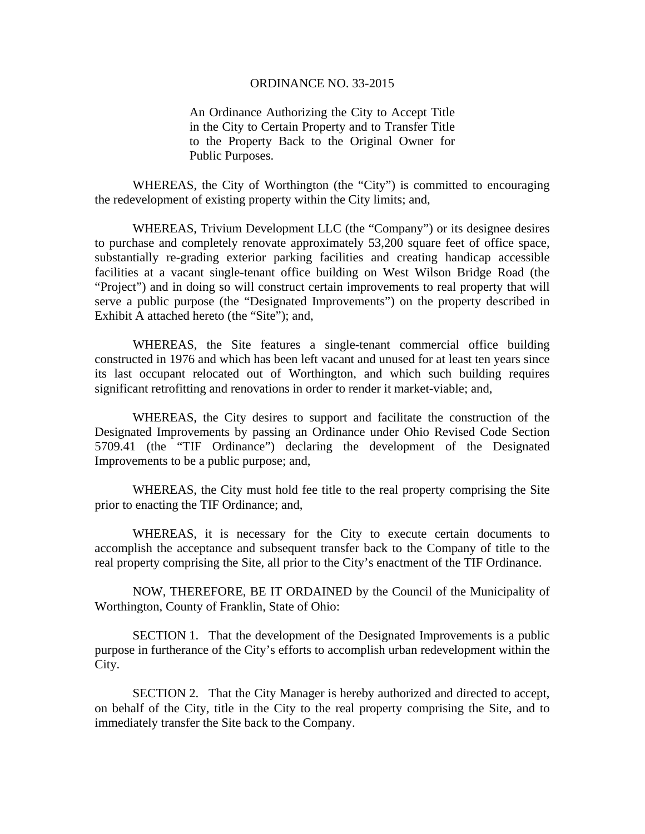## ORDINANCE NO. 33-2015

An Ordinance Authorizing the City to Accept Title in the City to Certain Property and to Transfer Title to the Property Back to the Original Owner for Public Purposes.

WHEREAS, the City of Worthington (the "City") is committed to encouraging the redevelopment of existing property within the City limits; and,

WHEREAS, Trivium Development LLC (the "Company") or its designee desires to purchase and completely renovate approximately 53,200 square feet of office space, substantially re-grading exterior parking facilities and creating handicap accessible facilities at a vacant single-tenant office building on West Wilson Bridge Road (the "Project") and in doing so will construct certain improvements to real property that will serve a public purpose (the "Designated Improvements") on the property described in Exhibit A attached hereto (the "Site"); and,

WHEREAS, the Site features a single-tenant commercial office building constructed in 1976 and which has been left vacant and unused for at least ten years since its last occupant relocated out of Worthington, and which such building requires significant retrofitting and renovations in order to render it market-viable; and,

WHEREAS, the City desires to support and facilitate the construction of the Designated Improvements by passing an Ordinance under Ohio Revised Code Section 5709.41 (the "TIF Ordinance") declaring the development of the Designated Improvements to be a public purpose; and,

WHEREAS, the City must hold fee title to the real property comprising the Site prior to enacting the TIF Ordinance; and,

WHEREAS, it is necessary for the City to execute certain documents to accomplish the acceptance and subsequent transfer back to the Company of title to the real property comprising the Site, all prior to the City's enactment of the TIF Ordinance.

 NOW, THEREFORE, BE IT ORDAINED by the Council of the Municipality of Worthington, County of Franklin, State of Ohio:

 SECTION 1. That the development of the Designated Improvements is a public purpose in furtherance of the City's efforts to accomplish urban redevelopment within the City.

SECTION 2. That the City Manager is hereby authorized and directed to accept, on behalf of the City, title in the City to the real property comprising the Site, and to immediately transfer the Site back to the Company.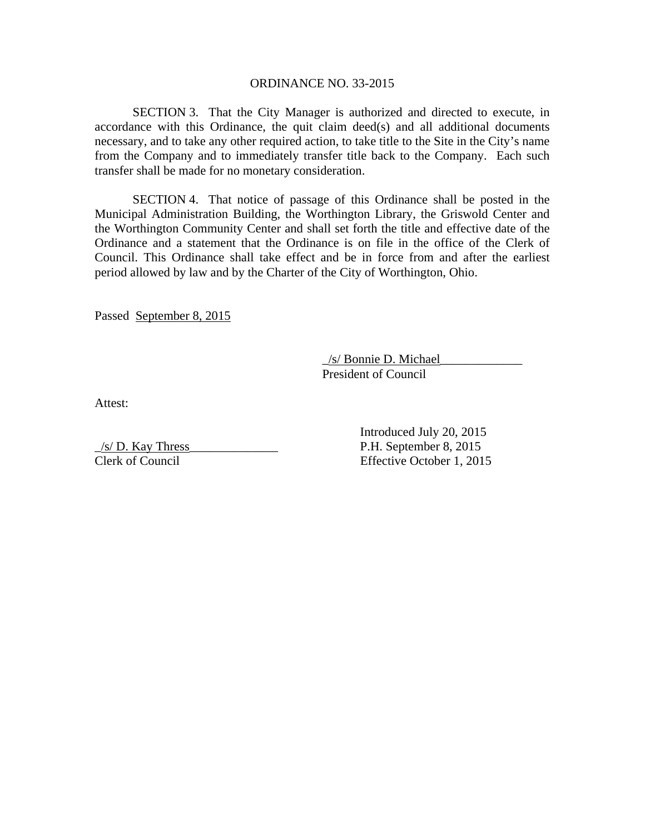## ORDINANCE NO. 33-2015

SECTION 3. That the City Manager is authorized and directed to execute, in accordance with this Ordinance, the quit claim deed(s) and all additional documents necessary, and to take any other required action, to take title to the Site in the City's name from the Company and to immediately transfer title back to the Company. Each such transfer shall be made for no monetary consideration.

SECTION 4. That notice of passage of this Ordinance shall be posted in the Municipal Administration Building, the Worthington Library, the Griswold Center and the Worthington Community Center and shall set forth the title and effective date of the Ordinance and a statement that the Ordinance is on file in the office of the Clerk of Council. This Ordinance shall take effect and be in force from and after the earliest period allowed by law and by the Charter of the City of Worthington, Ohio.

Passed September 8, 2015

 \_/s/ Bonnie D. Michael\_\_\_\_\_\_\_\_\_\_\_\_\_ President of Council

Attest:

 Introduced July 20, 2015  $\frac{1}{s}$  P.H. September 8, 2015 Clerk of Council Effective October 1, 2015